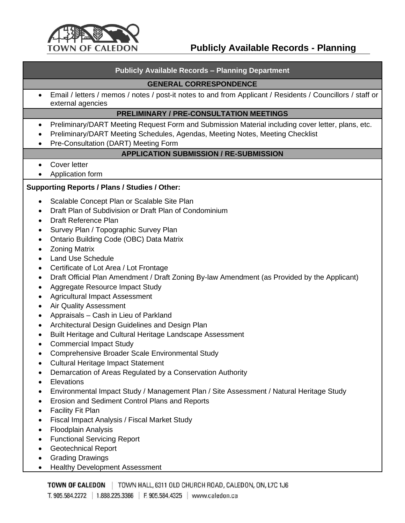

# **Publicly Available Records - Planning**

#### **Publicly Available Records – Planning Department**

#### **GENERAL CORRESPONDENCE**

• Email / letters / memos / notes / post-it notes to and from Applicant / Residents / Councillors / staff or external agencies

#### **PRELIMINARY / PRE-CONSULTATION MEETINGS**

- Preliminary/DART Meeting Request Form and Submission Material including cover letter, plans, etc.
- Preliminary/DART Meeting Schedules, Agendas, Meeting Notes, Meeting Checklist
- Pre-Consultation (DART) Meeting Form

## **APPLICATION SUBMISSION / RE-SUBMISSION**

- Cover letter
- Application form

## **Supporting Reports / Plans / Studies / Other:**

- Scalable Concept Plan or Scalable Site Plan
- Draft Plan of Subdivision or Draft Plan of Condominium
- Draft Reference Plan
- Survey Plan / Topographic Survey Plan
- Ontario Building Code (OBC) Data Matrix
- Zoning Matrix
- Land Use Schedule
- Certificate of Lot Area / Lot Frontage
- Draft Official Plan Amendment / Draft Zoning By-law Amendment (as Provided by the Applicant)
- Aggregate Resource Impact Study
- Agricultural Impact Assessment
- Air Quality Assessment
- Appraisals Cash in Lieu of Parkland
- Architectural Design Guidelines and Design Plan
- Built Heritage and Cultural Heritage Landscape Assessment
- Commercial Impact Study
- Comprehensive Broader Scale Environmental Study
- Cultural Heritage Impact Statement
- Demarcation of Areas Regulated by a Conservation Authority
- Elevations
- Environmental Impact Study / Management Plan / Site Assessment / Natural Heritage Study
- Erosion and Sediment Control Plans and Reports
- Facility Fit Plan
- Fiscal Impact Analysis / Fiscal Market Study
- Floodplain Analysis
- Functional Servicing Report
- Geotechnical Report
- Grading Drawings
- Healthy Development Assessment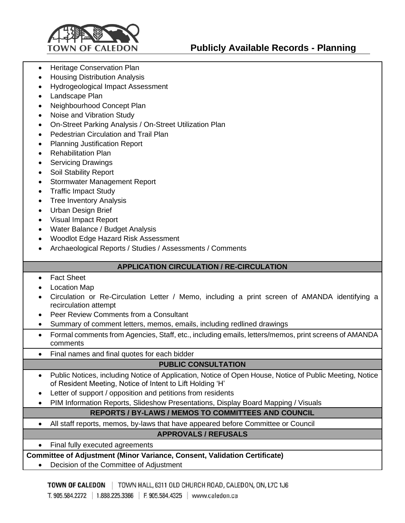

- Heritage Conservation Plan
- Housing Distribution Analysis
- Hydrogeological Impact Assessment
- Landscape Plan
- Neighbourhood Concept Plan
- Noise and Vibration Study
- On-Street Parking Analysis / On-Street Utilization Plan
- Pedestrian Circulation and Trail Plan
- Planning Justification Report
- Rehabilitation Plan
- Servicing Drawings
- Soil Stability Report
- Stormwater Management Report
- Traffic Impact Study
- Tree Inventory Analysis
- Urban Design Brief
- Visual Impact Report
- Water Balance / Budget Analysis
- Woodlot Edge Hazard Risk Assessment
- Archaeological Reports / Studies / Assessments / Comments

# **APPLICATION CIRCULATION / RE-CIRCULATION**

- Fact Sheet
- Location Map
- Circulation or Re-Circulation Letter / Memo, including a print screen of AMANDA identifying a recirculation attempt
- Peer Review Comments from a Consultant
- Summary of comment letters, memos, emails, including redlined drawings
- Formal comments from Agencies, Staff, etc., including emails, letters/memos, print screens of AMANDA comments
- Final names and final quotes for each bidder

# **PUBLIC CONSULTATION**

- Public Notices, including Notice of Application, Notice of Open House, Notice of Public Meeting, Notice of Resident Meeting, Notice of Intent to Lift Holding 'H'
- Letter of support / opposition and petitions from residents
- PIM Information Reports, Slideshow Presentations, Display Board Mapping / Visuals

# **REPORTS / BY-LAWS / MEMOS TO COMMITTEES AND COUNCIL**

• All staff reports, memos, by-laws that have appeared before Committee or Council

## **APPROVALS / REFUSALS**

• Final fully executed agreements

## **Committee of Adjustment (Minor Variance, Consent, Validation Certificate)**

• Decision of the Committee of Adjustment